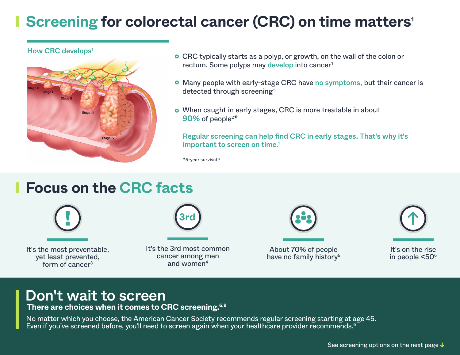# **Screening for colorectal cancer (CRC) on time matters<sup>1</sup>**

How CRC develops<sup>1</sup>



- CRC typically starts as a polyp, or growth, on the wall of the colon or rectum. Some polyps may develop into cancer<sup>1</sup>
- Many people with early-stage CRC have no symptoms, but their cancer is detected through screening<sup>1</sup>
- When caught in early stages, CRC is more treatable in about 90% of people<sup>2\*</sup>

### Regular screening can help find CRC in early stages. That's why it's important to screen on time.<sup>1</sup>

\*5-year survival.2

# **Focus on the CRC facts**



It's the most preventable, yet least prevented, form of cancer3

**3rd**

It's the 3rd most common cancer among men and women $4$ 

About 70% of people have no family history<sup>5</sup>



It's on the rise in people <506

## Don't wait to screen

**There are choices when it comes to CRC screening.6,9**

No matter which you choose, the American Cancer Society recommends regular screening starting at age 45. Even if you've screened before, you'll need to screen again when your healthcare provider recommends.<sup>6</sup>

See screening options on the next page **↓**